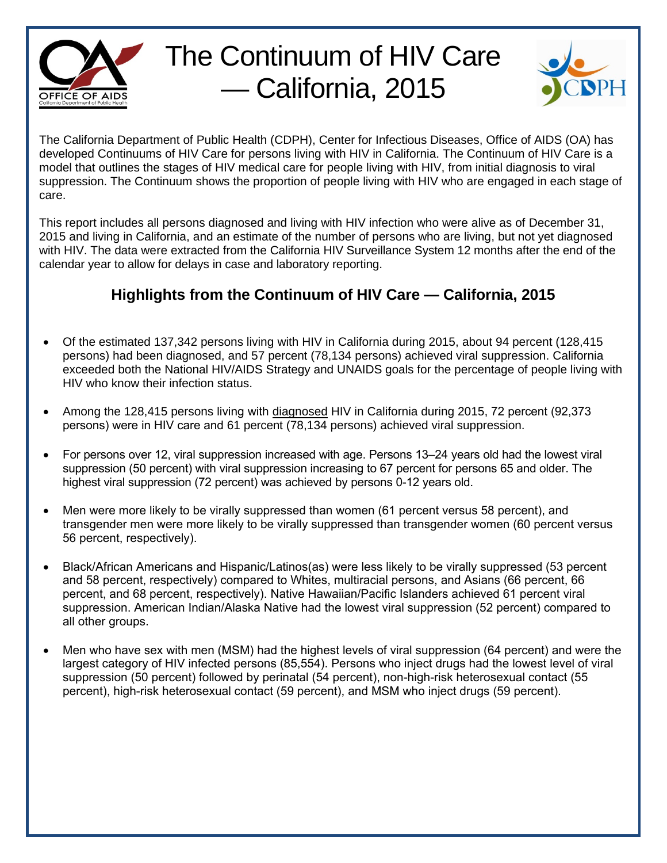

## The Continuum of HIV Care — California, 2015



The California Department of Public Health (CDPH), Center for Infectious Diseases, Office of AIDS (OA) has developed Continuums of HIV Care for persons living with HIV in California. The Continuum of HIV Care is a model that outlines the stages of HIV medical care for people living with HIV, from initial diagnosis to viral suppression. The Continuum shows the proportion of people living with HIV who are engaged in each stage of care.

This report includes all persons diagnosed and living with HIV infection who were alive as of December 31, 2015 and living in California, and an estimate of the number of persons who are living, but not yet diagnosed with HIV. The data were extracted from the California HIV Surveillance System 12 months after the end of the calendar year to allow for delays in case and laboratory reporting.

## **Highlights from the Continuum of HIV Care — California, 2015**

- Of the estimated 137,342 persons living with HIV in California during 2015, about 94 percent (128,415 persons) had been diagnosed, and 57 percent (78,134 persons) achieved viral suppression. California exceeded both the National HIV/AIDS Strategy and UNAIDS goals for the percentage of people living with HIV who know their infection status.
- Among the 128,415 persons living with diagnosed HIV in California during 2015, 72 percent (92,373 persons) were in HIV care and 61 percent (78,134 persons) achieved viral suppression.
- For persons over 12, viral suppression increased with age. Persons 13–24 years old had the lowest viral suppression (50 percent) with viral suppression increasing to 67 percent for persons 65 and older. The highest viral suppression (72 percent) was achieved by persons 0-12 years old.
- Men were more likely to be virally suppressed than women (61 percent versus 58 percent), and transgender men were more likely to be virally suppressed than transgender women (60 percent versus 56 percent, respectively).
- Black/African Americans and Hispanic/Latinos(as) were less likely to be virally suppressed (53 percent and 58 percent, respectively) compared to Whites, multiracial persons, and Asians (66 percent, 66 percent, and 68 percent, respectively). Native Hawaiian/Pacific Islanders achieved 61 percent viral suppression. American Indian/Alaska Native had the lowest viral suppression (52 percent) compared to all other groups.
- Men who have sex with men (MSM) had the highest levels of viral suppression (64 percent) and were the largest category of HIV infected persons (85,554). Persons who inject drugs had the lowest level of viral suppression (50 percent) followed by perinatal (54 percent), non-high-risk heterosexual contact (55 percent), high-risk heterosexual contact (59 percent), and MSM who inject drugs (59 percent).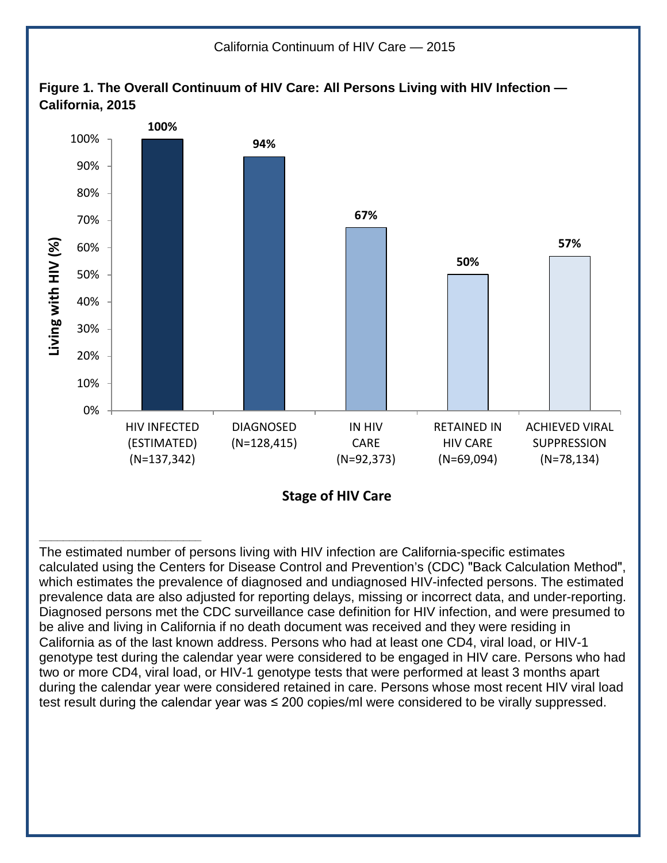

The estimated number of persons living with HIV infection are California-specific estimates calculated using the Centers for Disease Control and Prevention's (CDC) "Back Calculation Method", which estimates the prevalence of diagnosed and undiagnosed HIV-infected persons. The estimated prevalence data are also adjusted for reporting delays, missing or incorrect data, and under-reporting. Diagnosed persons met the CDC surveillance case definition for HIV infection, and were presumed to be alive and living in California if no death document was received and they were residing in California as of the last known address. Persons who had at least one CD4, viral load, or HIV-1 genotype test during the calendar year were considered to be engaged in HIV care. Persons who had two or more CD4, viral load, or HIV-1 genotype tests that were performed at least 3 months apart during the calendar year were considered retained in care. Persons whose most recent HIV viral load test result during the calendar year was ≤ 200 copies/ml were considered to be virally suppressed.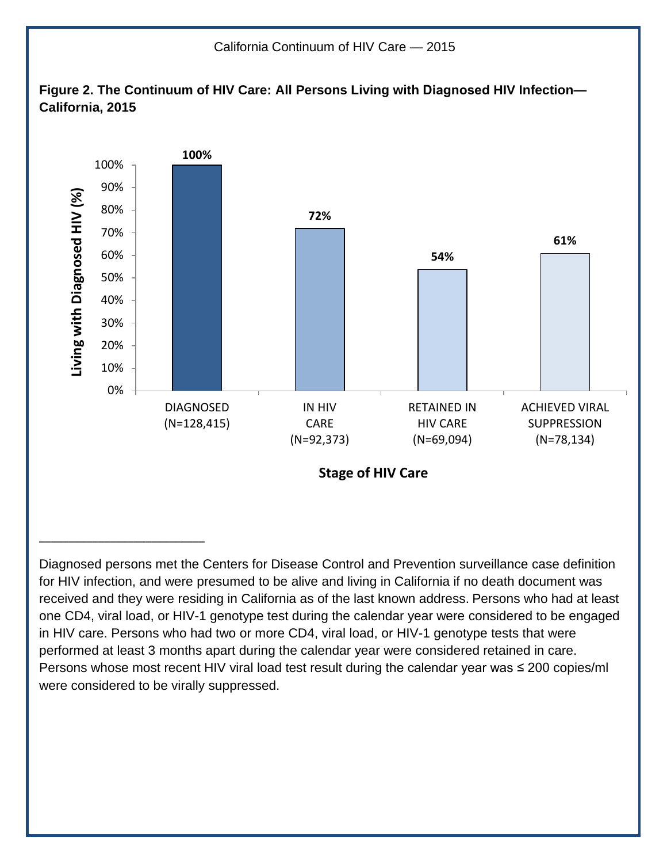

Diagnosed persons met the Centers for Disease Control and Prevention surveillance case definition for HIV infection, and were presumed to be alive and living in California if no death document was received and they were residing in California as of the last known address. Persons who had at least one CD4, viral load, or HIV-1 genotype test during the calendar year were considered to be engaged in HIV care. Persons who had two or more CD4, viral load, or HIV-1 genotype tests that were performed at least 3 months apart during the calendar year were considered retained in care. Persons whose most recent HIV viral load test result during the calendar year was ≤ 200 copies/ml were considered to be virally suppressed.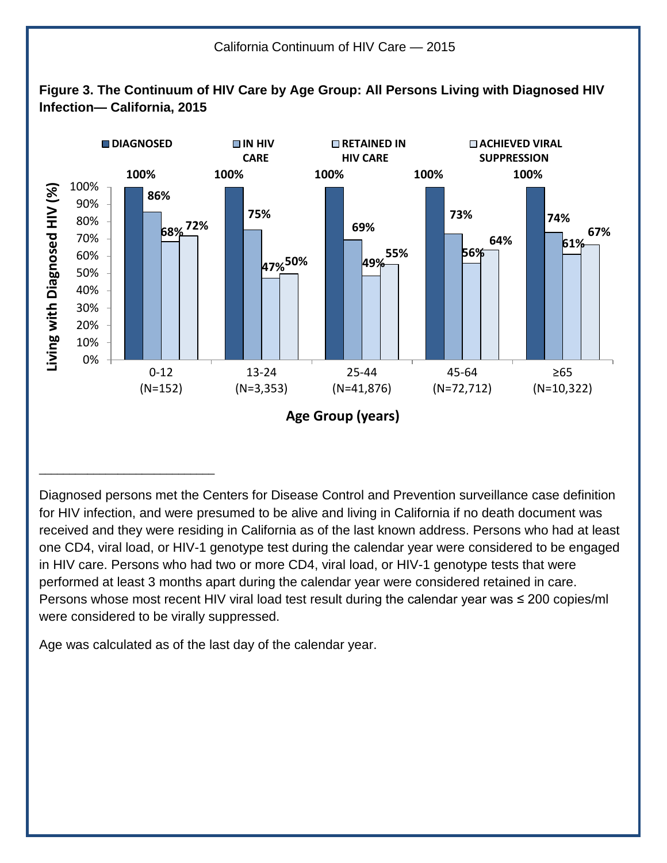

Diagnosed persons met the Centers for Disease Control and Prevention surveillance case definition for HIV infection, and were presumed to be alive and living in California if no death document was received and they were residing in California as of the last known address. Persons who had at least one CD4, viral load, or HIV-1 genotype test during the calendar year were considered to be engaged in HIV care. Persons who had two or more CD4, viral load, or HIV-1 genotype tests that were performed at least 3 months apart during the calendar year were considered retained in care. Persons whose most recent HIV viral load test result during the calendar year was ≤ 200 copies/ml were considered to be virally suppressed.

Age was calculated as of the last day of the calendar year.

\_\_\_\_\_\_\_\_\_\_\_\_\_\_\_\_\_\_\_\_\_\_\_\_\_\_\_\_\_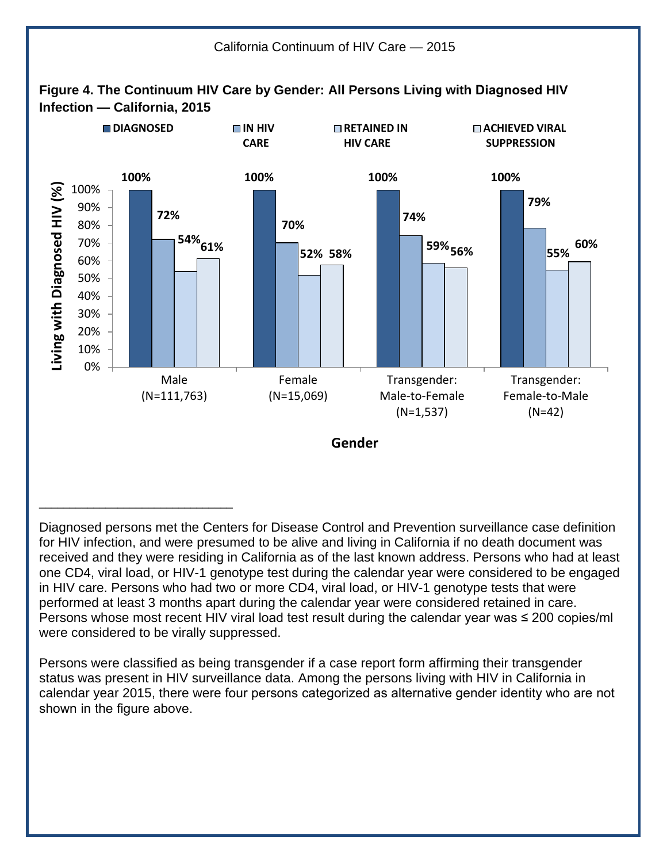

Diagnosed persons met the Centers for Disease Control and Prevention surveillance case definition for HIV infection, and were presumed to be alive and living in California if no death document was received and they were residing in California as of the last known address. Persons who had at least one CD4, viral load, or HIV-1 genotype test during the calendar year were considered to be engaged in HIV care. Persons who had two or more CD4, viral load, or HIV-1 genotype tests that were performed at least 3 months apart during the calendar year were considered retained in care. Persons whose most recent HIV viral load test result during the calendar year was  $\leq$  200 copies/ml were considered to be virally suppressed.

Persons were classified as being transgender if a case report form affirming their transgender status was present in HIV surveillance data. Among the persons living with HIV in California in calendar year 2015, there were four persons categorized as alternative gender identity who are not shown in the figure above.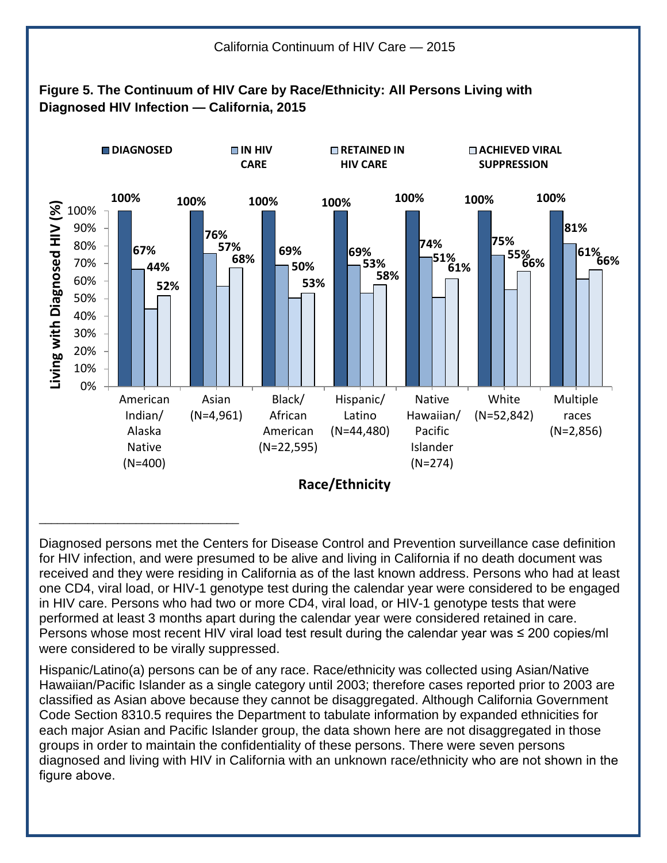

Diagnosed persons met the Centers for Disease Control and Prevention surveillance case definition for HIV infection, and were presumed to be alive and living in California if no death document was received and they were residing in California as of the last known address. Persons who had at least one CD4, viral load, or HIV-1 genotype test during the calendar year were considered to be engaged in HIV care. Persons who had two or more CD4, viral load, or HIV-1 genotype tests that were performed at least 3 months apart during the calendar year were considered retained in care. Persons whose most recent HIV viral load test result during the calendar year was  $\leq$  200 copies/ml were considered to be virally suppressed.

Hispanic/Latino(a) persons can be of any race. Race/ethnicity was collected using Asian/Native Hawaiian/Pacific Islander as a single category until 2003; therefore cases reported prior to 2003 are classified as Asian above because they cannot be disaggregated. Although California Government Code Section 8310.5 requires the Department to tabulate information by expanded ethnicities for each major Asian and Pacific Islander group, the data shown here are not disaggregated in those groups in order to maintain the confidentiality of these persons. There were seven persons diagnosed and living with HIV in California with an unknown race/ethnicity who are not shown in the figure above.